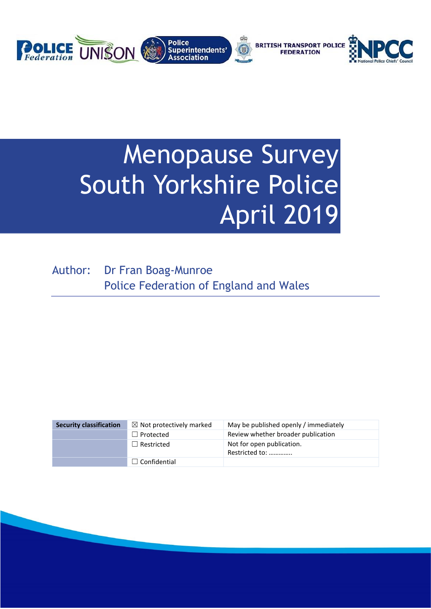

# Menopause Survey South Yorkshire Police April 2019

Author: Dr Fran Boag-Munroe Police Federation of England and Wales

| <b>Security classification</b> | $\boxtimes$ Not protectively marked | May be published openly / immediately       |
|--------------------------------|-------------------------------------|---------------------------------------------|
|                                | $\Box$ Protected                    | Review whether broader publication          |
|                                | $\Box$ Restricted                   | Not for open publication.<br>Restricted to: |
|                                | $\Box$ Confidential                 |                                             |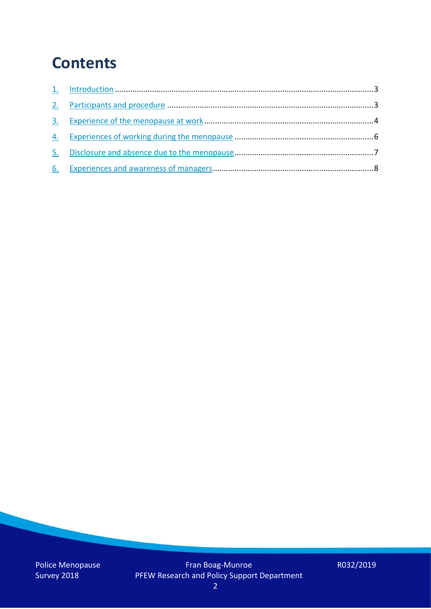## **Contents**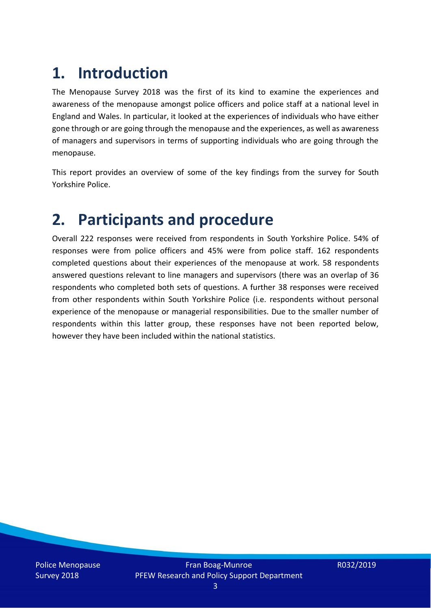## **1. Introduction**

The Menopause Survey 2018 was the first of its kind to examine the experiences and awareness of the menopause amongst police officers and police staff at a national level in England and Wales. In particular, it looked at the experiences of individuals who have either gone through or are going through the menopause and the experiences, as well as awareness of managers and supervisors in terms of supporting individuals who are going through the menopause.

This report provides an overview of some of the key findings from the survey for South Yorkshire Police.

### **2. Participants and procedure**

Overall 222 responses were received from respondents in South Yorkshire Police. 54% of responses were from police officers and 45% were from police staff. 162 respondents completed questions about their experiences of the menopause at work. 58 respondents answered questions relevant to line managers and supervisors (there was an overlap of 36 respondents who completed both sets of questions. A further 38 responses were received from other respondents within South Yorkshire Police (i.e. respondents without personal experience of the menopause or managerial responsibilities. Due to the smaller number of respondents within this latter group, these responses have not been reported below, however they have been included within the national statistics.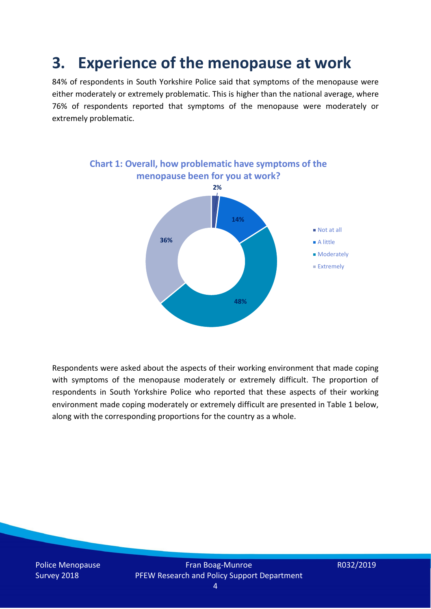### **3. Experience of the menopause at work**

84% of respondents in South Yorkshire Police said that symptoms of the menopause were either moderately or extremely problematic. This is higher than the national average, where 76% of respondents reported that symptoms of the menopause were moderately or extremely problematic.



Respondents were asked about the aspects of their working environment that made coping with symptoms of the menopause moderately or extremely difficult. The proportion of respondents in South Yorkshire Police who reported that these aspects of their working environment made coping moderately or extremely difficult are presented in Table 1 below, along with the corresponding proportions for the country as a whole.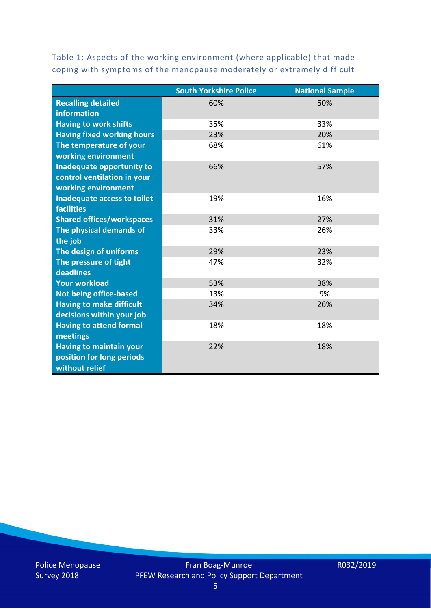Table 1: Aspects of the working environment (where applicable) that made coping with symptoms of the menopause moderately or extremely difficult

|                                   | <b>South Yorkshire Police</b> | <b>National Sample</b> |
|-----------------------------------|-------------------------------|------------------------|
| <b>Recalling detailed</b>         | 60%                           | 50%                    |
| information                       |                               |                        |
| <b>Having to work shifts</b>      | 35%                           | 33%                    |
| <b>Having fixed working hours</b> | 23%                           | 20%                    |
| The temperature of your           | 68%                           | 61%                    |
| working environment               |                               |                        |
| Inadequate opportunity to         | 66%                           | 57%                    |
| control ventilation in your       |                               |                        |
| working environment               |                               |                        |
| Inadequate access to toilet       | 19%                           | 16%                    |
| <b>facilities</b>                 |                               |                        |
| <b>Shared offices/workspaces</b>  | 31%                           | 27%                    |
| The physical demands of           | 33%                           | 26%                    |
| the job                           |                               |                        |
| The design of uniforms            | 29%                           | 23%                    |
| The pressure of tight             | 47%                           | 32%                    |
| deadlines                         |                               |                        |
| <b>Your workload</b>              | 53%                           | 38%                    |
| <b>Not being office-based</b>     | 13%                           | 9%                     |
| <b>Having to make difficult</b>   | 34%                           | 26%                    |
| decisions within your job         |                               |                        |
| <b>Having to attend formal</b>    | 18%                           | 18%                    |
| meetings                          |                               |                        |
| <b>Having to maintain your</b>    | 22%                           | 18%                    |
| position for long periods         |                               |                        |
| without relief                    |                               |                        |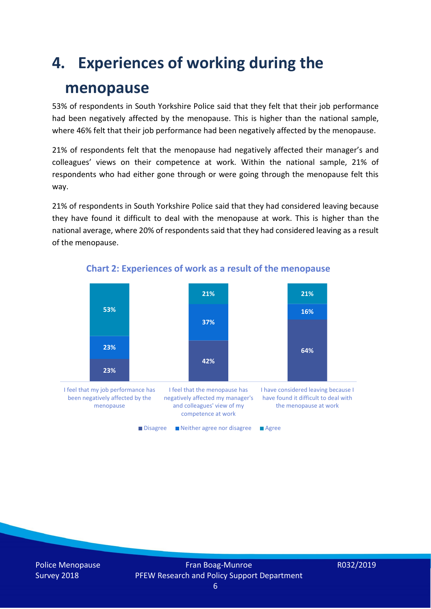### **4. Experiences of working during the**

### **menopause**

53% of respondents in South Yorkshire Police said that they felt that their job performance had been negatively affected by the menopause. This is higher than the national sample, where 46% felt that their job performance had been negatively affected by the menopause.

21% of respondents felt that the menopause had negatively affected their manager's and colleagues' views on their competence at work. Within the national sample, 21% of respondents who had either gone through or were going through the menopause felt this way.

21% of respondents in South Yorkshire Police said that they had considered leaving because they have found it difficult to deal with the menopause at work. This is higher than the national average, where 20% of respondents said that they had considered leaving as a result of the menopause.



#### **Chart 2: Experiences of work as a result of the menopause**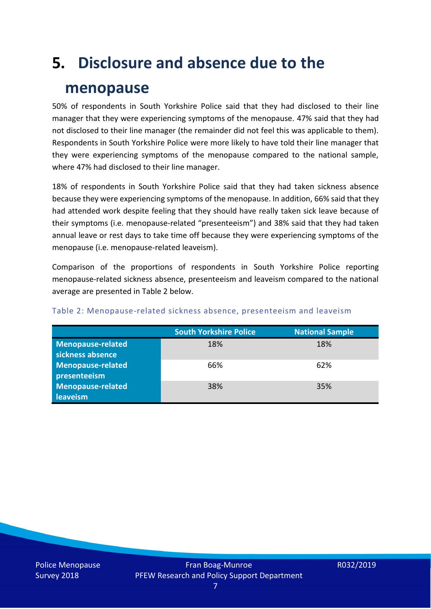# **5. Disclosure and absence due to the**

### **menopause**

50% of respondents in South Yorkshire Police said that they had disclosed to their line manager that they were experiencing symptoms of the menopause. 47% said that they had not disclosed to their line manager (the remainder did not feel this was applicable to them). Respondents in South Yorkshire Police were more likely to have told their line manager that they were experiencing symptoms of the menopause compared to the national sample, where 47% had disclosed to their line manager.

18% of respondents in South Yorkshire Police said that they had taken sickness absence because they were experiencing symptoms of the menopause. In addition, 66% said that they had attended work despite feeling that they should have really taken sick leave because of their symptoms (i.e. menopause-related "presenteeism") and 38% said that they had taken annual leave or rest days to take time off because they were experiencing symptoms of the menopause (i.e. menopause-related leaveism).

Comparison of the proportions of respondents in South Yorkshire Police reporting menopause-related sickness absence, presenteeism and leaveism compared to the national average are presented in Table 2 below.

|                          | <b>South Yorkshire Police</b> | <b>National Sample</b> |
|--------------------------|-------------------------------|------------------------|
| <b>Menopause-related</b> | 18%                           | 18%                    |
| sickness absence         |                               |                        |
| Menopause-related        | 66%                           | 62%                    |
| presenteeism             |                               |                        |
| Menopause-related        | 38%                           | 35%                    |
| leaveism                 |                               |                        |

#### Table 2: Menopause-related sickness absence, presenteeism and leaveism